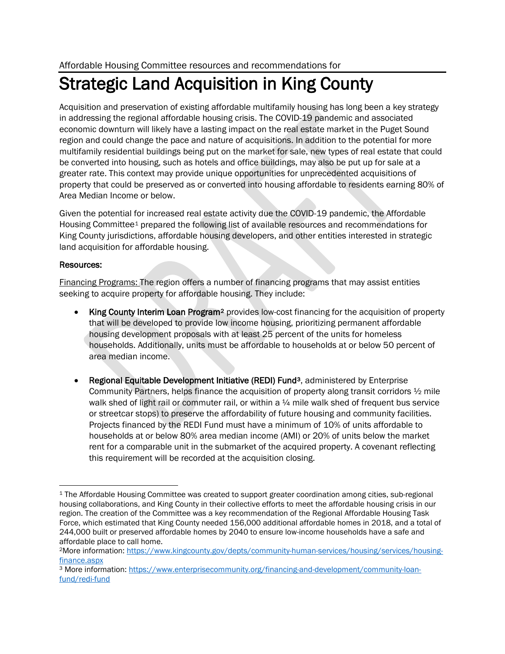## Strategic Land Acquisition in King County

Acquisition and preservation of existing affordable multifamily housing has long been a key strategy in addressing the regional affordable housing crisis. The COVID-19 pandemic and associated economic downturn will likely have a lasting impact on the real estate market in the Puget Sound region and could change the pace and nature of acquisitions. In addition to the potential for more multifamily residential buildings being put on the market for sale, new types of real estate that could be converted into housing, such as hotels and office buildings, may also be put up for sale at a greater rate. This context may provide unique opportunities for unprecedented acquisitions of property that could be preserved as or converted into housing affordable to residents earning 80% of Area Median Income or below.

Given the potential for increased real estate activity due the COVID-19 pandemic, the Affordable Housing Committee[1](#page-0-0) prepared the following list of available resources and recommendations for King County jurisdictions, affordable housing developers, and other entities interested in strategic land acquisition for affordable housing.

## Resources:

Financing Programs: The region offers a number of financing programs that may assist entities seeking to acquire property for affordable housing. They include:

- King County Interim Loan Program<sup>[2](#page-0-1)</sup> provides low-cost financing for the acquisition of property that will be developed to provide low income housing, prioritizing permanent affordable housing development proposals with at least 25 percent of the units for homeless households. Additionally, units must be affordable to households at or below 50 percent of area median income.
- Regional Equitable Development Initiative (REDI) Fund<sup>[3](#page-0-2)</sup>, administered by Enterprise Community Partners, helps finance the acquisition of property along transit corridors ½ mile walk shed of light rail or commuter rail, or within a  $\frac{1}{4}$  mile walk shed of frequent bus service or streetcar stops) to preserve the affordability of future housing and community facilities. Projects financed by the REDI Fund must have a minimum of 10% of units affordable to households at or below 80% area median income (AMI) or 20% of units below the market rent for a comparable unit in the submarket of the acquired property. A covenant reflecting this requirement will be recorded at the acquisition closing.

<span id="page-0-0"></span><sup>1</sup> The Affordable Housing Committee was created to support greater coordination among cities, sub-regional housing collaborations, and King County in their collective efforts to meet the affordable housing crisis in our region. The creation of the Committee was a key recommendation of the Regional Affordable Housing Task Force, which estimated that King County needed 156,000 additional affordable homes in 2018, and a total of 244,000 built or preserved affordable homes by 2040 to ensure low-income households have a safe and affordable place to call home.

<span id="page-0-1"></span><sup>2</sup>More information[: https://www.kingcounty.gov/depts/community-human-services/housing/services/housing](https://www.kingcounty.gov/depts/community-human-services/housing/services/housing-finance.aspx)[finance.aspx](https://www.kingcounty.gov/depts/community-human-services/housing/services/housing-finance.aspx)

<span id="page-0-2"></span><sup>3</sup> More information: [https://www.enterprisecommunity.org/financing-and-development/community-loan](https://www.enterprisecommunity.org/financing-and-development/community-loan-fund/redi-fund)[fund/redi-fund](https://www.enterprisecommunity.org/financing-and-development/community-loan-fund/redi-fund)